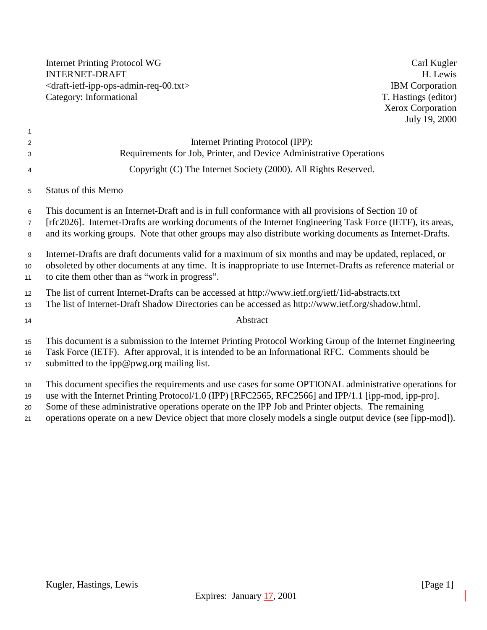Internet Printing Protocol WG Carl Kugler INTERNET-DRAFT H. Lewis <br/>
H. Lewis <br/>
<br/>
<br/>
<br/>
H. Lewis <br/>
<br/>
<br/>
H. Lewis <br/>
<br/>
IBM Corporation  $\langle$ draft-ietf-ipp-ops-admin-req-00.txt $>$ Category: Informational T. Hastings (editor)

Xerox Corporation July 19, 2000

| $\overline{1}$               |                                                                                                                                                                                                                                                                           |
|------------------------------|---------------------------------------------------------------------------------------------------------------------------------------------------------------------------------------------------------------------------------------------------------------------------|
| 2                            | Internet Printing Protocol (IPP):                                                                                                                                                                                                                                         |
| 3                            | Requirements for Job, Printer, and Device Administrative Operations                                                                                                                                                                                                       |
| $\overline{4}$               | Copyright (C) The Internet Society (2000). All Rights Reserved.                                                                                                                                                                                                           |
| 5                            | <b>Status of this Memo</b>                                                                                                                                                                                                                                                |
| 6                            | This document is an Internet-Draft and is in full conformance with all provisions of Section 10 of                                                                                                                                                                        |
| $\overline{7}$               | [rfc2026]. Internet-Drafts are working documents of the Internet Engineering Task Force (IETF), its areas,                                                                                                                                                                |
| 8                            | and its working groups. Note that other groups may also distribute working documents as Internet-Drafts.                                                                                                                                                                  |
| 9<br>10<br>11                | Internet-Drafts are draft documents valid for a maximum of six months and may be updated, replaced, or<br>obsoleted by other documents at any time. It is inappropriate to use Internet-Drafts as reference material or<br>to cite them other than as "work in progress". |
| 12<br>13                     | The list of current Internet-Drafts can be accessed at http://www.ietf.org/ietf/1id-abstracts.txt<br>The list of Internet-Draft Shadow Directories can be accessed as http://www.ietf.org/shadow.html.                                                                    |
| 14                           | Abstract                                                                                                                                                                                                                                                                  |
| 15 <sub>15</sub><br>16<br>17 | This document is a submission to the Internet Printing Protocol Working Group of the Internet Engineering<br>Task Force (IETF). After approval, it is intended to be an Informational RFC. Comments should be<br>submitted to the ipp@pwg.org mailing list.               |
| 18<br>19                     | This document specifies the requirements and use cases for some OPTIONAL administrative operations for<br>use with the Internet Printing Protocol/1.0 (IPP) [RFC2565, RFC2566] and IPP/1.1 [ipp-mod, ipp-pro].                                                            |
| 20<br>21                     | Some of these administrative operations operate on the IPP Job and Printer objects. The remaining<br>operations operate on a new Device object that more closely models a single output device (see [ipp-mod]).                                                           |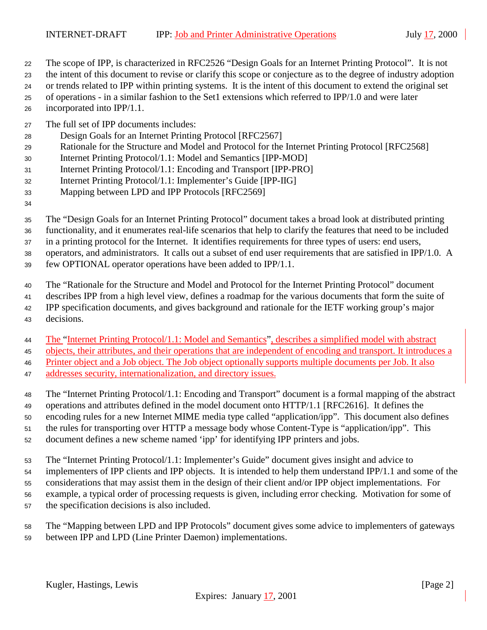- The scope of IPP, is characterized in RFC2526 "Design Goals for an Internet Printing Protocol". It is not
- the intent of this document to revise or clarify this scope or conjecture as to the degree of industry adoption
- or trends related to IPP within printing systems. It is the intent of this document to extend the original set
- of operations in a similar fashion to the Set1 extensions which referred to IPP/1.0 and were later incorporated into IPP/1.1.
- The full set of IPP documents includes:
- Design Goals for an Internet Printing Protocol [RFC2567]
- Rationale for the Structure and Model and Protocol for the Internet Printing Protocol [RFC2568]
- Internet Printing Protocol/1.1: Model and Semantics [IPP-MOD]
- Internet Printing Protocol/1.1: Encoding and Transport [IPP-PRO]
- Internet Printing Protocol/1.1: Implementer's Guide [IPP-IIG]
- Mapping between LPD and IPP Protocols [RFC2569]
- 
- The "Design Goals for an Internet Printing Protocol" document takes a broad look at distributed printing
- functionality, and it enumerates real-life scenarios that help to clarify the features that need to be included
- in a printing protocol for the Internet. It identifies requirements for three types of users: end users,
- operators, and administrators. It calls out a subset of end user requirements that are satisfied in IPP/1.0. A
- few OPTIONAL operator operations have been added to IPP/1.1.
- The "Rationale for the Structure and Model and Protocol for the Internet Printing Protocol" document
- describes IPP from a high level view, defines a roadmap for the various documents that form the suite of
- IPP specification documents, and gives background and rationale for the IETF working group's major
- decisions.
- The "Internet Printing Protocol/1.1: Model and Semantics", describes a simplified model with abstract
- objects, their attributes, and their operations that are independent of encoding and transport. It introduces a
- Printer object and a Job object. The Job object optionally supports multiple documents per Job. It also
- addresses security, internationalization, and directory issues.
- The "Internet Printing Protocol/1.1: Encoding and Transport" document is a formal mapping of the abstract operations and attributes defined in the model document onto HTTP/1.1 [RFC2616]. It defines the encoding rules for a new Internet MIME media type called "application/ipp". This document also defines the rules for transporting over HTTP a message body whose Content-Type is "application/ipp". This document defines a new scheme named 'ipp' for identifying IPP printers and jobs.
- The "Internet Printing Protocol/1.1: Implementer's Guide" document gives insight and advice to
- implementers of IPP clients and IPP objects. It is intended to help them understand IPP/1.1 and some of the considerations that may assist them in the design of their client and/or IPP object implementations. For
- example, a typical order of processing requests is given, including error checking. Motivation for some of the specification decisions is also included.
- The "Mapping between LPD and IPP Protocols" document gives some advice to implementers of gateways between IPP and LPD (Line Printer Daemon) implementations.
	- Kugler, Hastings, Lewis [Page 2]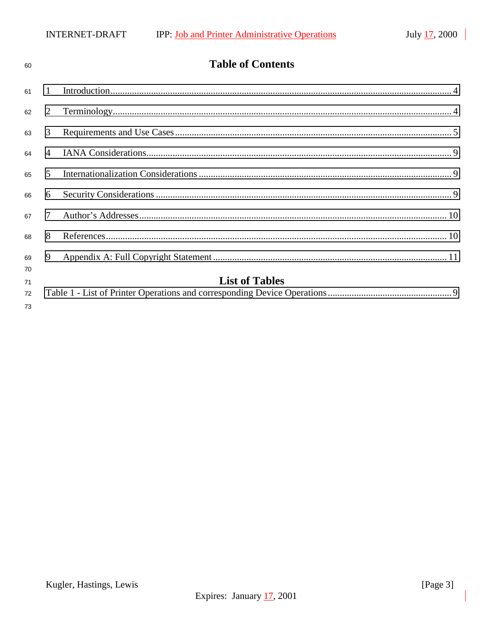| 60                   | <b>Table of Contents</b> |                       |  |  |
|----------------------|--------------------------|-----------------------|--|--|
| 61                   | $\mathbf{1}$             |                       |  |  |
| 62                   | 2                        |                       |  |  |
| 63                   | 3                        |                       |  |  |
| 64                   | $\overline{4}$           |                       |  |  |
| 65                   | $\overline{5}$           |                       |  |  |
| 66                   | 6                        |                       |  |  |
| 67                   | $\tau$                   |                       |  |  |
| 68                   | 8                        |                       |  |  |
| 69                   | 9                        |                       |  |  |
| 70<br>71<br>72<br>73 |                          | <b>List of Tables</b> |  |  |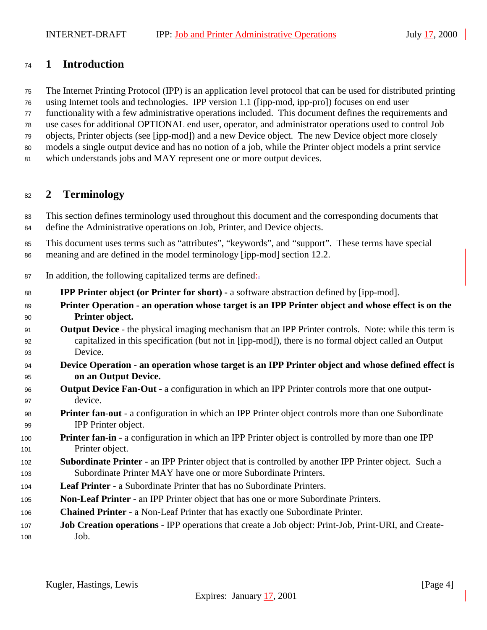### <span id="page-3-0"></span>**1 Introduction**

The Internet Printing Protocol (IPP) is an application level protocol that can be used for distributed printing

using Internet tools and technologies. IPP version 1.1 ([ipp-mod, ipp-pro]) focuses on end user

functionality with a few administrative operations included. This document defines the requirements and

use cases for additional OPTIONAL end user, operator, and administrator operations used to control Job

 objects, Printer objects (see [ipp-mod]) and a new Device object. The new Device object more closely models a single output device and has no notion of a job, while the Printer object models a print service

which understands jobs and MAY represent one or more output devices.

### **2 Terminology**

 This section defines terminology used throughout this document and the corresponding documents that define the Administrative operations on Job, Printer, and Device objects.

 This document uses terms such as "attributes", "keywords", and "support". These terms have special meaning and are defined in the model terminology [ipp-mod] section 12.2.

- 87 In addition, the following capitalized terms are defined:
- **IPP Printer object (or Printer for short)** a software abstraction defined by [ipp-mod].
- **Printer Operation an operation whose target is an IPP Printer object and whose effect is on the Printer object.**
- **Output Device**  the physical imaging mechanism that an IPP Printer controls. Note: while this term is capitalized in this specification (but not in [ipp-mod]), there is no formal object called an Output Device.
- **Device Operation an operation whose target is an IPP Printer object and whose defined effect is on an Output Device.**
- **Output Device Fan-Out** a configuration in which an IPP Printer controls more that one output-device.
- **Printer fan**-**out**  a configuration in which an IPP Printer object controls more than one Subordinate IPP Printer object.
- **Printer fan-in** a configuration in which an IPP Printer object is controlled by more than one IPP Printer object.
- **Subordinate Printer**  an IPP Printer object that is controlled by another IPP Printer object. Such a Subordinate Printer MAY have one or more Subordinate Printers.
- **Leaf Printer**  a Subordinate Printer that has no Subordinate Printers.
- **Non**-**Leaf Printer** an IPP Printer object that has one or more Subordinate Printers.
- **Chained Printer**  a Non-Leaf Printer that has exactly one Subordinate Printer.
- **Job Creation operations**  IPP operations that create a Job object: Print-Job, Print-URI, and Create-Job.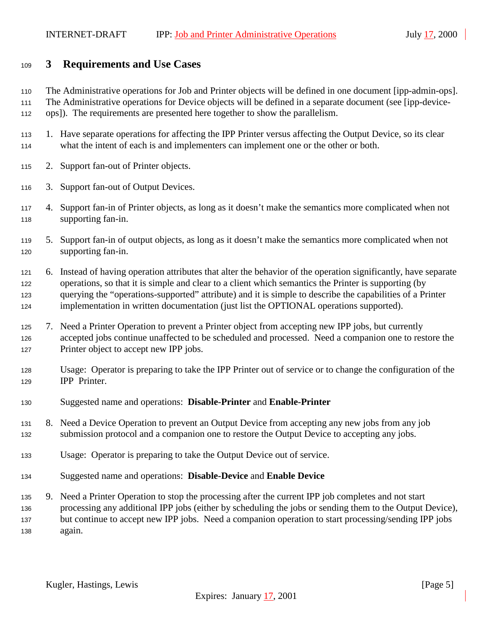#### <span id="page-4-0"></span>**3 Requirements and Use Cases**

The Administrative operations for Job and Printer objects will be defined in one document [ipp-admin-ops].

 The Administrative operations for Device objects will be defined in a separate document (see [ipp-device-ops]). The requirements are presented here together to show the parallelism.

- 1. Have separate operations for affecting the IPP Printer versus affecting the Output Device, so its clear what the intent of each is and implementers can implement one or the other or both.
- 2. Support fan-out of Printer objects.
- 3. Support fan-out of Output Devices.
- 4. Support fan-in of Printer objects, as long as it doesn't make the semantics more complicated when not supporting fan-in.
- 5. Support fan-in of output objects, as long as it doesn't make the semantics more complicated when not supporting fan-in.
- 6. Instead of having operation attributes that alter the behavior of the operation significantly, have separate operations, so that it is simple and clear to a client which semantics the Printer is supporting (by querying the "operations-supported" attribute) and it is simple to describe the capabilities of a Printer implementation in written documentation (just list the OPTIONAL operations supported).
- 7. Need a Printer Operation to prevent a Printer object from accepting new IPP jobs, but currently accepted jobs continue unaffected to be scheduled and processed. Need a companion one to restore the 127 Printer object to accept new IPP jobs.
- Usage: Operator is preparing to take the IPP Printer out of service or to change the configuration of the IPP Printer.
- Suggested name and operations: **Disable-Printer** and **Enable-Printer**
- 8. Need a Device Operation to prevent an Output Device from accepting any new jobs from any job submission protocol and a companion one to restore the Output Device to accepting any jobs.
- Usage: Operator is preparing to take the Output Device out of service.
- Suggested name and operations: **Disable-Device** and **Enable Device**
- 9. Need a Printer Operation to stop the processing after the current IPP job completes and not start processing any additional IPP jobs (either by scheduling the jobs or sending them to the Output Device), but continue to accept new IPP jobs. Need a companion operation to start processing/sending IPP jobs again.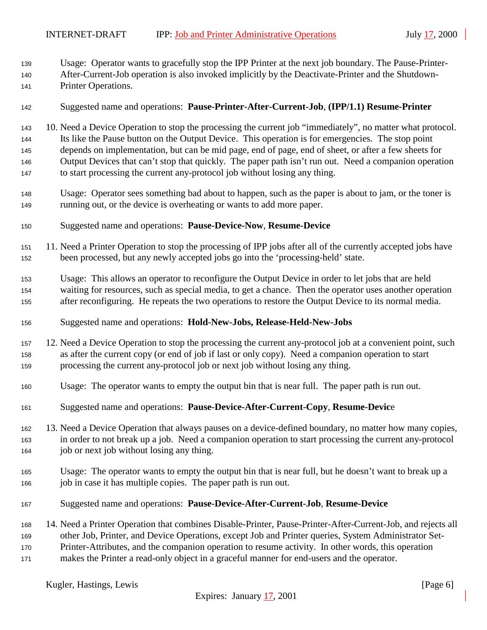Usage: Operator wants to gracefully stop the IPP Printer at the next job boundary. The Pause-Printer-After-Current-Job operation is also invoked implicitly by the Deactivate-Printer and the Shutdown-

- Printer Operations.
- Suggested name and operations: **Pause-Printer-After-Current-Job**, **(IPP/1.1) Resume-Printer**

 10. Need a Device Operation to stop the processing the current job "immediately", no matter what protocol. Its like the Pause button on the Output Device. This operation is for emergencies. The stop point depends on implementation, but can be mid page, end of page, end of sheet, or after a few sheets for Output Devices that can't stop that quickly. The paper path isn't run out. Need a companion operation to start processing the current any-protocol job without losing any thing.

- Usage: Operator sees something bad about to happen, such as the paper is about to jam, or the toner is running out, or the device is overheating or wants to add more paper.
- Suggested name and operations: **Pause-Device-Now**, **Resume-Device**
- 11. Need a Printer Operation to stop the processing of IPP jobs after all of the currently accepted jobs have been processed, but any newly accepted jobs go into the 'processing-held' state.
- Usage: This allows an operator to reconfigure the Output Device in order to let jobs that are held waiting for resources, such as special media, to get a chance. Then the operator uses another operation after reconfiguring. He repeats the two operations to restore the Output Device to its normal media.
- Suggested name and operations: **Hold-New-Jobs, Release-Held-New-Jobs**
- 12. Need a Device Operation to stop the processing the current any-protocol job at a convenient point, such as after the current copy (or end of job if last or only copy). Need a companion operation to start processing the current any-protocol job or next job without losing any thing.
- Usage: The operator wants to empty the output bin that is near full. The paper path is run out.
- Suggested name and operations: **Pause-Device-After-Current-Copy**, **Resume-Devic**e
- 13. Need a Device Operation that always pauses on a device-defined boundary, no matter how many copies, in order to not break up a job. Need a companion operation to start processing the current any-protocol job or next job without losing any thing.
- Usage: The operator wants to empty the output bin that is near full, but he doesn't want to break up a job in case it has multiple copies. The paper path is run out.
- Suggested name and operations: **Pause-Device-After-Current-Job**, **Resume-Device**
- 14. Need a Printer Operation that combines Disable-Printer, Pause-Printer-After-Current-Job, and rejects all
- other Job, Printer, and Device Operations, except Job and Printer queries, System Administrator Set-
- Printer-Attributes, and the companion operation to resume activity. In other words, this operation
- makes the Printer a read-only object in a graceful manner for end-users and the operator.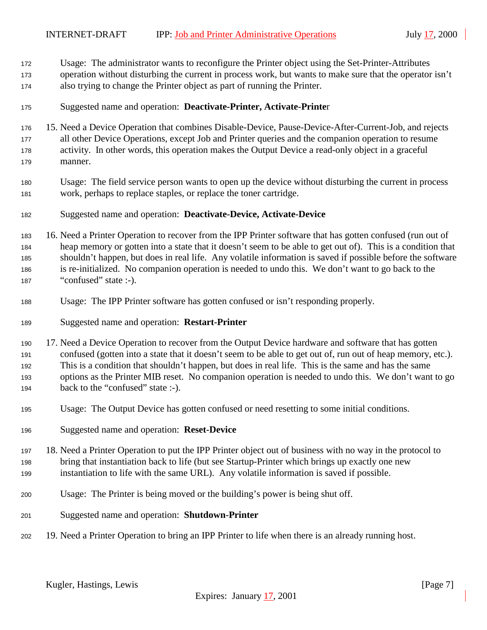- Usage: The administrator wants to reconfigure the Printer object using the Set-Printer-Attributes
- operation without disturbing the current in process work, but wants to make sure that the operator isn't also trying to change the Printer object as part of running the Printer.
- Suggested name and operation: **Deactivate-Printer, Activate-Printe**r
- 15. Need a Device Operation that combines Disable-Device, Pause-Device-After-Current-Job, and rejects all other Device Operations, except Job and Printer queries and the companion operation to resume activity. In other words, this operation makes the Output Device a read-only object in a graceful manner.
- Usage: The field service person wants to open up the device without disturbing the current in process work, perhaps to replace staples, or replace the toner cartridge.
- Suggested name and operation: **Deactivate-Device, Activate-Device**

 16. Need a Printer Operation to recover from the IPP Printer software that has gotten confused (run out of heap memory or gotten into a state that it doesn't seem to be able to get out of). This is a condition that shouldn't happen, but does in real life. Any volatile information is saved if possible before the software is re-initialized. No companion operation is needed to undo this. We don't want to go back to the 187 "confused" state :-).

- Usage: The IPP Printer software has gotten confused or isn't responding properly.
- Suggested name and operation: **Restart-Printer**

 17. Need a Device Operation to recover from the Output Device hardware and software that has gotten confused (gotten into a state that it doesn't seem to be able to get out of, run out of heap memory, etc.). This is a condition that shouldn't happen, but does in real life. This is the same and has the same options as the Printer MIB reset. No companion operation is needed to undo this. We don't want to go back to the "confused" state :-).

- Usage: The Output Device has gotten confused or need resetting to some initial conditions.
- Suggested name and operation: **Reset-Device**
- 18. Need a Printer Operation to put the IPP Printer object out of business with no way in the protocol to bring that instantiation back to life (but see Startup-Printer which brings up exactly one new instantiation to life with the same URL). Any volatile information is saved if possible.
- Usage: The Printer is being moved or the building's power is being shut off.
- Suggested name and operation: **Shutdown-Printer**
- 19. Need a Printer Operation to bring an IPP Printer to life when there is an already running host.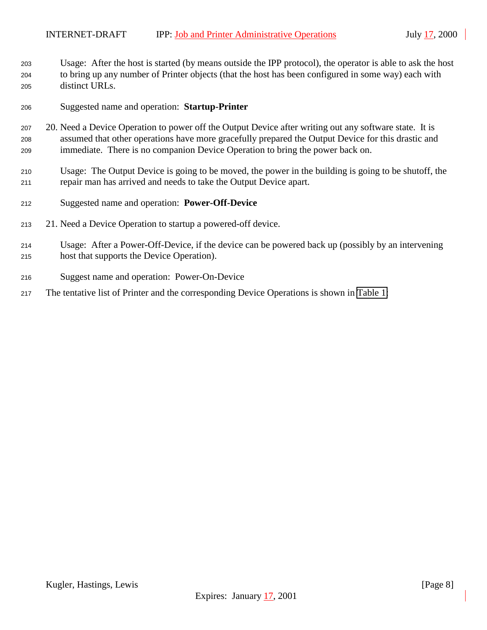Usage: After the host is started (by means outside the IPP protocol), the operator is able to ask the host to bring up any number of Printer objects (that the host has been configured in some way) each with distinct URLs.

- Suggested name and operation: **Startup-Printer**
- 20. Need a Device Operation to power off the Output Device after writing out any software state. It is assumed that other operations have more gracefully prepared the Output Device for this drastic and immediate. There is no companion Device Operation to bring the power back on.
- Usage: The Output Device is going to be moved, the power in the building is going to be shutoff, the repair man has arrived and needs to take the Output Device apart.
- Suggested name and operation: **Power-Off-Device**
- 21. Need a Device Operation to startup a powered-off device.
- Usage: After a Power-Off-Device, if the device can be powered back up (possibly by an intervening host that supports the Device Operation).
- Suggest name and operation: Power-On-Device
- The tentative list of Printer and the corresponding Device Operations is shown in [Table 1:](#page-8-0)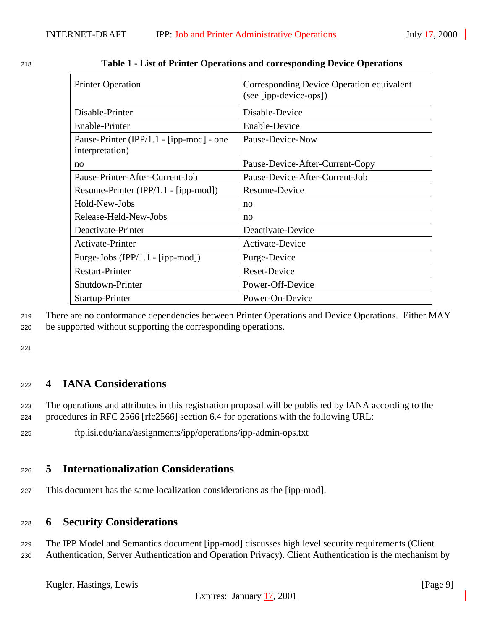| <b>Printer Operation</b>                                    | Corresponding Device Operation equivalent<br>(see [ipp-device-ops]) |
|-------------------------------------------------------------|---------------------------------------------------------------------|
| Disable-Printer                                             | Disable-Device                                                      |
| Enable-Printer                                              | <b>Enable-Device</b>                                                |
| Pause-Printer (IPP/1.1 - [ipp-mod] - one<br>interpretation) | Pause-Device-Now                                                    |
| no                                                          | Pause-Device-After-Current-Copy                                     |
| Pause-Printer-After-Current-Job                             | Pause-Device-After-Current-Job                                      |
| Resume-Printer (IPP/1.1 - [ipp-mod])                        | Resume-Device                                                       |
| Hold-New-Jobs                                               | no                                                                  |
| Release-Held-New-Jobs                                       | no                                                                  |
| Deactivate-Printer                                          | Deactivate-Device                                                   |
| <b>Activate-Printer</b>                                     | Activate-Device                                                     |
| Purge-Jobs (IPP/1.1 - [ipp-mod])                            | Purge-Device                                                        |
| <b>Restart-Printer</b>                                      | <b>Reset-Device</b>                                                 |
| Shutdown-Printer                                            | Power-Off-Device                                                    |
| Startup-Printer                                             | Power-On-Device                                                     |

<span id="page-8-0"></span>

| 218 |  | Table 1 - List of Printer Operations and corresponding Device Operations |
|-----|--|--------------------------------------------------------------------------|
|     |  |                                                                          |

<sup>219</sup> There are no conformance dependencies between Printer Operations and Device Operations. Either MAY <sup>220</sup> be supported without supporting the corresponding operations.

221

### <sup>222</sup> **4 IANA Considerations**

<sup>223</sup> The operations and attributes in this registration proposal will be published by IANA according to the <sup>224</sup> procedures in RFC 2566 [rfc2566] section 6.4 for operations with the following URL:

<sup>225</sup> ftp.isi.edu/iana/assignments/ipp/operations/ipp-admin-ops.txt

### <sup>226</sup> **5 Internationalization Considerations**

<sup>227</sup> This document has the same localization considerations as the [ipp-mod].

#### <sup>228</sup> **6 Security Considerations**

<sup>229</sup> The IPP Model and Semantics document [ipp-mod] discusses high level security requirements (Client <sup>230</sup> Authentication, Server Authentication and Operation Privacy). Client Authentication is the mechanism by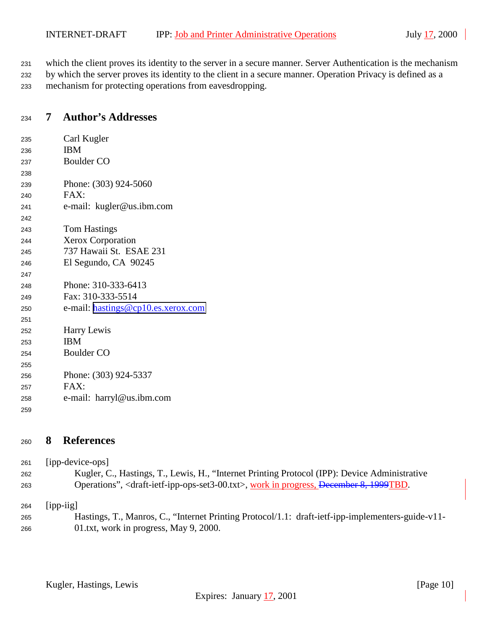<span id="page-9-0"></span>which the client proves its identity to the server in a secure manner. Server Authentication is the mechanism

 by which the server proves its identity to the client in a secure manner. Operation Privacy is defined as a mechanism for protecting operations from eavesdropping.

# **7 Author's Addresses**

| 235 | Carl Kugler                        |
|-----|------------------------------------|
| 236 | <b>IBM</b>                         |
| 237 | <b>Boulder CO</b>                  |
| 238 |                                    |
| 239 | Phone: (303) 924-5060              |
| 240 | FAX:                               |
| 241 | e-mail: kugler@us.ibm.com          |
| 242 |                                    |
| 243 | <b>Tom Hastings</b>                |
| 244 | <b>Xerox Corporation</b>           |
| 245 | 737 Hawaii St. ESAE 231            |
| 246 | El Segundo, CA 90245               |
| 247 |                                    |
| 248 | Phone: 310-333-6413                |
| 249 | Fax: 310-333-5514                  |
| 250 | e-mail: hastings@cp10.es.xerox.com |
| 251 |                                    |
| 252 | Harry Lewis                        |
| 253 | <b>IBM</b>                         |
| 254 | <b>Boulder CO</b>                  |
| 255 |                                    |
| 256 | Phone: (303) 924-5337              |
| 257 | FAX:                               |
| 258 | e-mail: harryl@us.ibm.com          |
| 259 |                                    |

## **8 References**

| 261 | [ipp-device-ops]                                                                                                       |
|-----|------------------------------------------------------------------------------------------------------------------------|
| 262 | Kugler, C., Hastings, T., Lewis, H., "Internet Printing Protocol (IPP): Device Administrative                          |
| 263 | Operations", <draft-ietf-ipp-ops-set3-00.txt>, work in progress, December 8, 1999TBD.</draft-ietf-ipp-ops-set3-00.txt> |
| 264 | $[$ ipp-iig $]$                                                                                                        |

 Hastings, T., Manros, C., "Internet Printing Protocol/1.1: draft-ietf-ipp-implementers-guide-v11- 01.txt, work in progress, May 9, 2000.